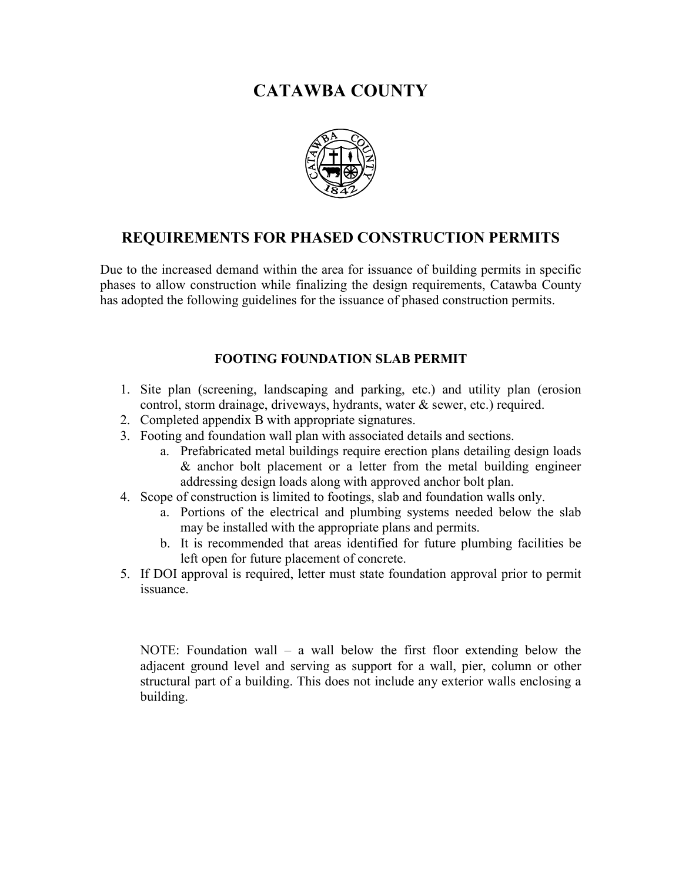# **CATAWBA COUNTY**



## **REQUIREMENTS FOR PHASED CONSTRUCTION PERMITS**

Due to the increased demand within the area for issuance of building permits in specific phases to allow construction while finalizing the design requirements, Catawba County has adopted the following guidelines for the issuance of phased construction permits.

### **FOOTING FOUNDATION SLAB PERMIT**

- 1. Site plan (screening, landscaping and parking, etc.) and utility plan (erosion control, storm drainage, driveways, hydrants, water & sewer, etc.) required.
- 2. Completed appendix B with appropriate signatures.
- 3. Footing and foundation wall plan with associated details and sections.
	- a. Prefabricated metal buildings require erection plans detailing design loads & anchor bolt placement or a letter from the metal building engineer addressing design loads along with approved anchor bolt plan.
- 4. Scope of construction is limited to footings, slab and foundation walls only.
	- a. Portions of the electrical and plumbing systems needed below the slab may be installed with the appropriate plans and permits.
	- b. It is recommended that areas identified for future plumbing facilities be left open for future placement of concrete.
- 5. If DOI approval is required, letter must state foundation approval prior to permit issuance.

NOTE: Foundation wall – a wall below the first floor extending below the adjacent ground level and serving as support for a wall, pier, column or other structural part of a building. This does not include any exterior walls enclosing a building.